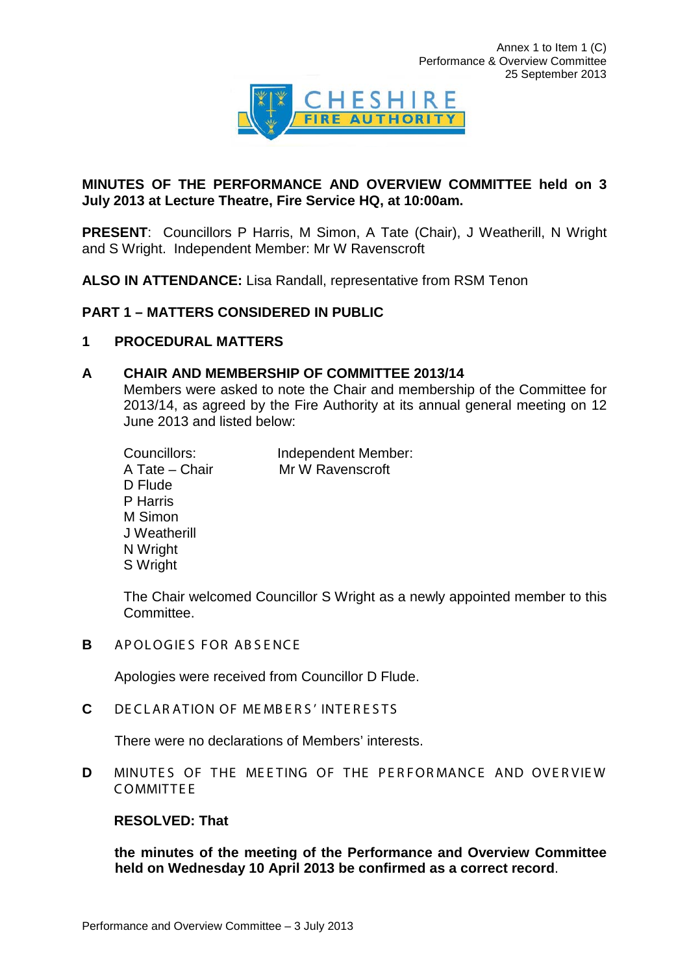

## **MINUTES OF THE PERFORMANCE AND OVERVIEW COMMITTEE held on 3 July 2013 at Lecture Theatre, Fire Service HQ, at 10:00am.**

**PRESENT**: Councillors P Harris, M Simon, A Tate (Chair), J Weatherill, N Wright and S Wright. Independent Member: Mr W Ravenscroft

**ALSO IN ATTENDANCE:** Lisa Randall, representative from RSM Tenon

## **PART 1 – MATTERS CONSIDERED IN PUBLIC**

## **1 PROCEDURAL MATTERS**

## **A CHAIR AND MEMBERSHIP OF COMMITTEE 2013/14**

Members were asked to note the Chair and membership of the Committee for 2013/14, as agreed by the Fire Authority at its annual general meeting on 12 June 2013 and listed below:

| Councillors:   | Independent Member: |
|----------------|---------------------|
| A Tate - Chair | Mr W Ravenscroft    |
| D Flude        |                     |
| P Harris       |                     |
| M Simon        |                     |
| J Weatherill   |                     |
| N Wright       |                     |
| S Wright       |                     |

The Chair welcomed Councillor S Wright as a newly appointed member to this Committee.

**B** APOLOGIES FOR ABSENCE

Apologies were received from Councillor D Flude.

**C** DECLARATION OF MEMBERS' INTERESTS

There were no declarations of Members' interests.

**D** MINUTES OF THE MEETING OF THE PERFORMANCE AND OVERVIEW C OMMITTE E

## **RESOLVED: That**

**the minutes of the meeting of the Performance and Overview Committee held on Wednesday 10 April 2013 be confirmed as a correct record**.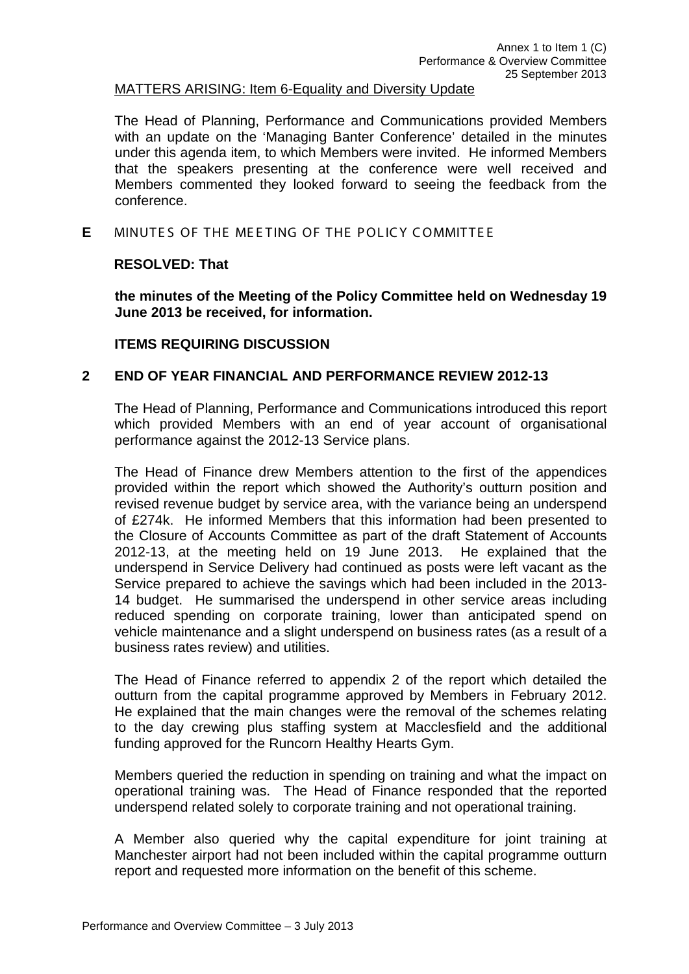### MATTERS ARISING: Item 6-Equality and Diversity Update

The Head of Planning, Performance and Communications provided Members with an update on the 'Managing Banter Conference' detailed in the minutes under this agenda item, to which Members were invited. He informed Members that the speakers presenting at the conference were well received and Members commented they looked forward to seeing the feedback from the conference.

**E** MINUTES OF THE MEETING OF THE POLICY COMMITTEE

#### **RESOLVED: That**

**the minutes of the Meeting of the Policy Committee held on Wednesday 19 June 2013 be received, for information.**

#### **ITEMS REQUIRING DISCUSSION**

### **2 END OF YEAR FINANCIAL AND PERFORMANCE REVIEW 2012-13**

The Head of Planning, Performance and Communications introduced this report which provided Members with an end of year account of organisational performance against the 2012-13 Service plans.

The Head of Finance drew Members attention to the first of the appendices provided within the report which showed the Authority's outturn position and revised revenue budget by service area, with the variance being an underspend of £274k. He informed Members that this information had been presented to the Closure of Accounts Committee as part of the draft Statement of Accounts 2012-13, at the meeting held on 19 June 2013. He explained that the underspend in Service Delivery had continued as posts were left vacant as the Service prepared to achieve the savings which had been included in the 2013- 14 budget. He summarised the underspend in other service areas including reduced spending on corporate training, lower than anticipated spend on vehicle maintenance and a slight underspend on business rates (as a result of a business rates review) and utilities.

The Head of Finance referred to appendix 2 of the report which detailed the outturn from the capital programme approved by Members in February 2012. He explained that the main changes were the removal of the schemes relating to the day crewing plus staffing system at Macclesfield and the additional funding approved for the Runcorn Healthy Hearts Gym.

Members queried the reduction in spending on training and what the impact on operational training was. The Head of Finance responded that the reported underspend related solely to corporate training and not operational training.

A Member also queried why the capital expenditure for joint training at Manchester airport had not been included within the capital programme outturn report and requested more information on the benefit of this scheme.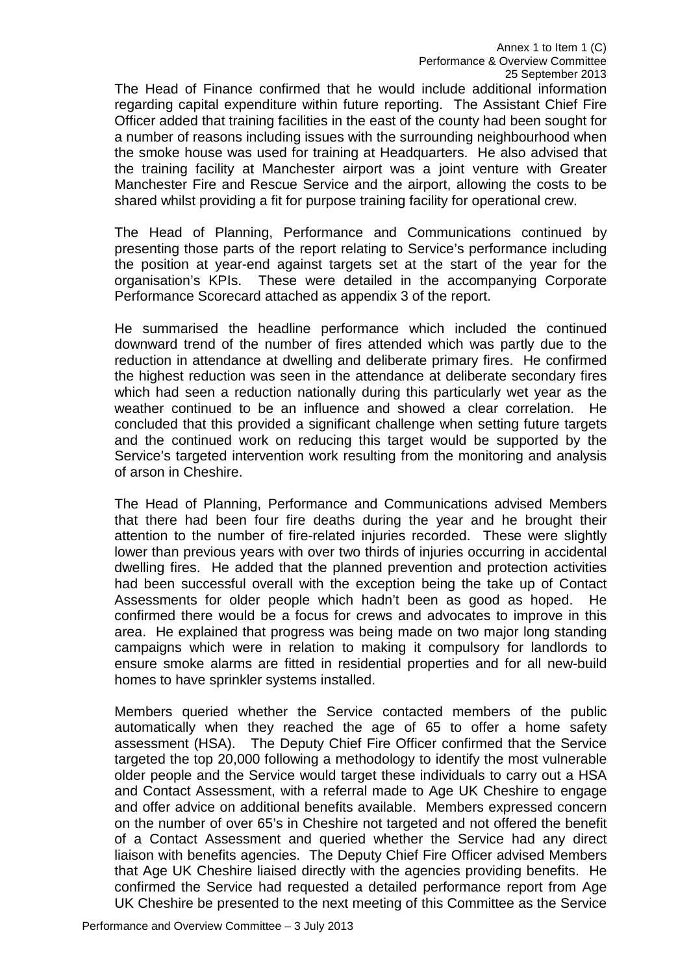The Head of Finance confirmed that he would include additional information regarding capital expenditure within future reporting. The Assistant Chief Fire Officer added that training facilities in the east of the county had been sought for a number of reasons including issues with the surrounding neighbourhood when the smoke house was used for training at Headquarters. He also advised that the training facility at Manchester airport was a joint venture with Greater Manchester Fire and Rescue Service and the airport, allowing the costs to be shared whilst providing a fit for purpose training facility for operational crew.

The Head of Planning, Performance and Communications continued by presenting those parts of the report relating to Service's performance including the position at year-end against targets set at the start of the year for the organisation's KPIs. These were detailed in the accompanying Corporate Performance Scorecard attached as appendix 3 of the report.

He summarised the headline performance which included the continued downward trend of the number of fires attended which was partly due to the reduction in attendance at dwelling and deliberate primary fires. He confirmed the highest reduction was seen in the attendance at deliberate secondary fires which had seen a reduction nationally during this particularly wet year as the weather continued to be an influence and showed a clear correlation. He concluded that this provided a significant challenge when setting future targets and the continued work on reducing this target would be supported by the Service's targeted intervention work resulting from the monitoring and analysis of arson in Cheshire.

The Head of Planning, Performance and Communications advised Members that there had been four fire deaths during the year and he brought their attention to the number of fire-related injuries recorded. These were slightly lower than previous years with over two thirds of injuries occurring in accidental dwelling fires. He added that the planned prevention and protection activities had been successful overall with the exception being the take up of Contact Assessments for older people which hadn't been as good as hoped. He confirmed there would be a focus for crews and advocates to improve in this area. He explained that progress was being made on two major long standing campaigns which were in relation to making it compulsory for landlords to ensure smoke alarms are fitted in residential properties and for all new-build homes to have sprinkler systems installed.

Members queried whether the Service contacted members of the public automatically when they reached the age of 65 to offer a home safety assessment (HSA). The Deputy Chief Fire Officer confirmed that the Service targeted the top 20,000 following a methodology to identify the most vulnerable older people and the Service would target these individuals to carry out a HSA and Contact Assessment, with a referral made to Age UK Cheshire to engage and offer advice on additional benefits available. Members expressed concern on the number of over 65's in Cheshire not targeted and not offered the benefit of a Contact Assessment and queried whether the Service had any direct liaison with benefits agencies. The Deputy Chief Fire Officer advised Members that Age UK Cheshire liaised directly with the agencies providing benefits. He confirmed the Service had requested a detailed performance report from Age UK Cheshire be presented to the next meeting of this Committee as the Service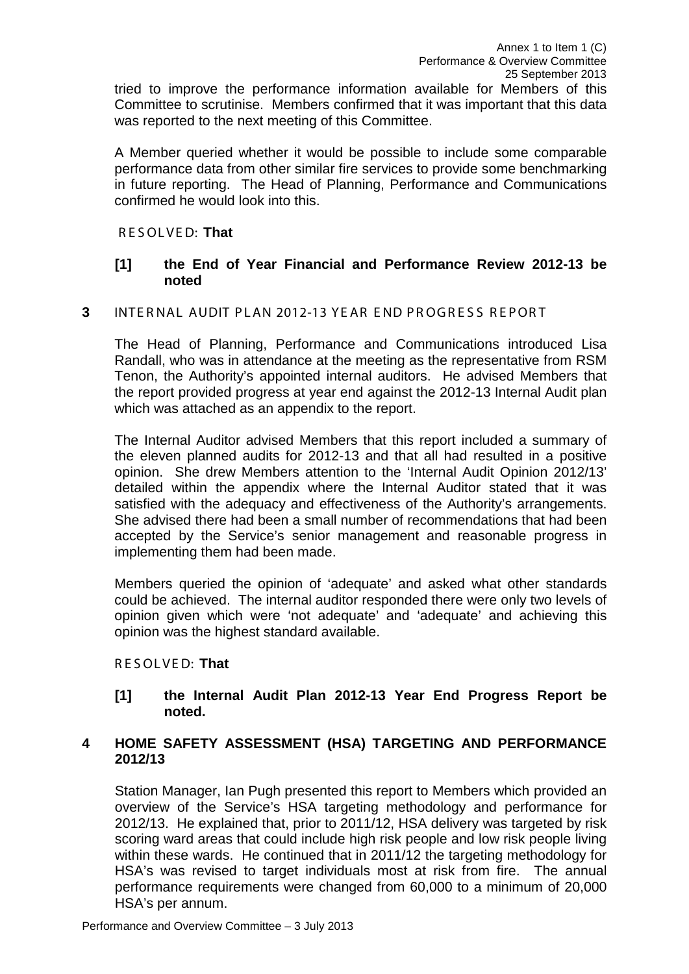tried to improve the performance information available for Members of this Committee to scrutinise. Members confirmed that it was important that this data was reported to the next meeting of this Committee.

A Member queried whether it would be possible to include some comparable performance data from other similar fire services to provide some benchmarking in future reporting. The Head of Planning, Performance and Communications confirmed he would look into this.

#### R E S OLVE D: **That**

## **[1] the End of Year Financial and Performance Review 2012-13 be noted**

#### **3** INTE R NAL AUDIT PLAN 2012-13 YE AR E ND PROGRESS REPORT

The Head of Planning, Performance and Communications introduced Lisa Randall, who was in attendance at the meeting as the representative from RSM Tenon, the Authority's appointed internal auditors. He advised Members that the report provided progress at year end against the 2012-13 Internal Audit plan which was attached as an appendix to the report.

The Internal Auditor advised Members that this report included a summary of the eleven planned audits for 2012-13 and that all had resulted in a positive opinion. She drew Members attention to the 'Internal Audit Opinion 2012/13' detailed within the appendix where the Internal Auditor stated that it was satisfied with the adequacy and effectiveness of the Authority's arrangements. She advised there had been a small number of recommendations that had been accepted by the Service's senior management and reasonable progress in implementing them had been made.

Members queried the opinion of 'adequate' and asked what other standards could be achieved. The internal auditor responded there were only two levels of opinion given which were 'not adequate' and 'adequate' and achieving this opinion was the highest standard available.

#### R E S OLVE D: **That**

#### **[1] the Internal Audit Plan 2012-13 Year End Progress Report be noted.**

## **4 HOME SAFETY ASSESSMENT (HSA) TARGETING AND PERFORMANCE 2012/13**

Station Manager, Ian Pugh presented this report to Members which provided an overview of the Service's HSA targeting methodology and performance for 2012/13. He explained that, prior to 2011/12, HSA delivery was targeted by risk scoring ward areas that could include high risk people and low risk people living within these wards. He continued that in 2011/12 the targeting methodology for HSA's was revised to target individuals most at risk from fire. The annual performance requirements were changed from 60,000 to a minimum of 20,000 HSA's per annum.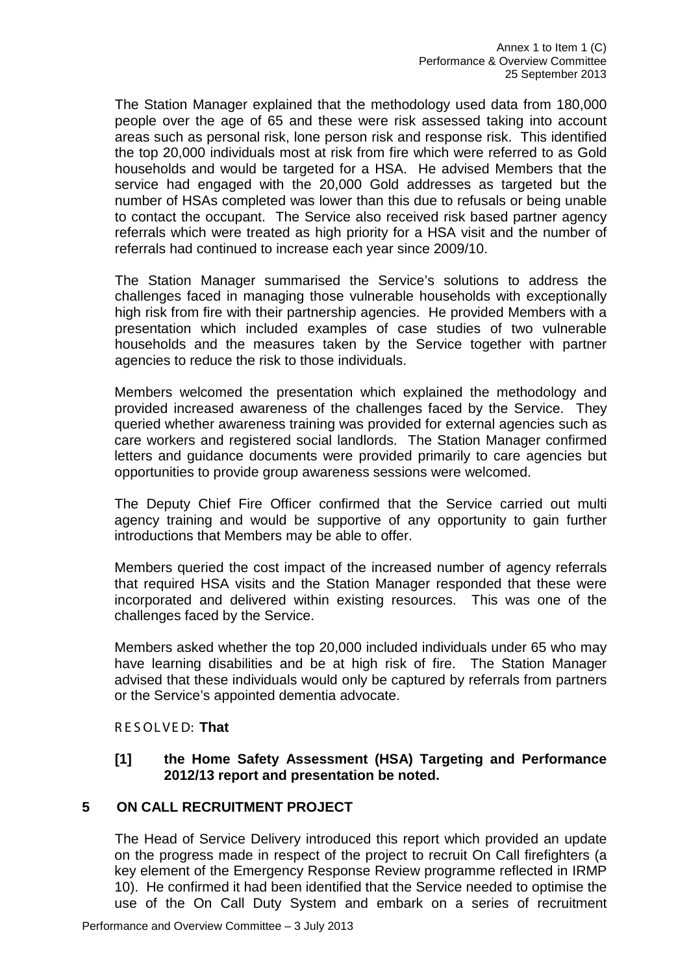The Station Manager explained that the methodology used data from 180,000 people over the age of 65 and these were risk assessed taking into account areas such as personal risk, lone person risk and response risk. This identified the top 20,000 individuals most at risk from fire which were referred to as Gold households and would be targeted for a HSA. He advised Members that the service had engaged with the 20,000 Gold addresses as targeted but the number of HSAs completed was lower than this due to refusals or being unable to contact the occupant. The Service also received risk based partner agency referrals which were treated as high priority for a HSA visit and the number of referrals had continued to increase each year since 2009/10.

The Station Manager summarised the Service's solutions to address the challenges faced in managing those vulnerable households with exceptionally high risk from fire with their partnership agencies. He provided Members with a presentation which included examples of case studies of two vulnerable households and the measures taken by the Service together with partner agencies to reduce the risk to those individuals.

Members welcomed the presentation which explained the methodology and provided increased awareness of the challenges faced by the Service. They queried whether awareness training was provided for external agencies such as care workers and registered social landlords. The Station Manager confirmed letters and guidance documents were provided primarily to care agencies but opportunities to provide group awareness sessions were welcomed.

The Deputy Chief Fire Officer confirmed that the Service carried out multi agency training and would be supportive of any opportunity to gain further introductions that Members may be able to offer.

Members queried the cost impact of the increased number of agency referrals that required HSA visits and the Station Manager responded that these were incorporated and delivered within existing resources. This was one of the challenges faced by the Service.

Members asked whether the top 20,000 included individuals under 65 who may have learning disabilities and be at high risk of fire. The Station Manager advised that these individuals would only be captured by referrals from partners or the Service's appointed dementia advocate.

R E S OLVE D: **That**

## **[1] the Home Safety Assessment (HSA) Targeting and Performance 2012/13 report and presentation be noted.**

## **5 ON CALL RECRUITMENT PROJECT**

The Head of Service Delivery introduced this report which provided an update on the progress made in respect of the project to recruit On Call firefighters (a key element of the Emergency Response Review programme reflected in IRMP 10). He confirmed it had been identified that the Service needed to optimise the use of the On Call Duty System and embark on a series of recruitment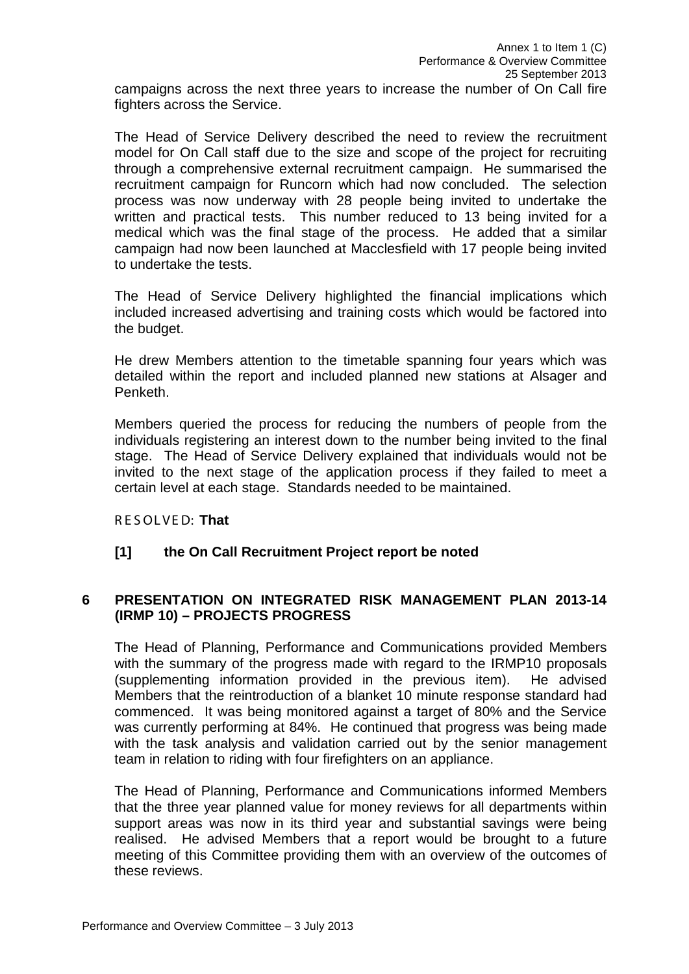campaigns across the next three years to increase the number of On Call fire fighters across the Service.

The Head of Service Delivery described the need to review the recruitment model for On Call staff due to the size and scope of the project for recruiting through a comprehensive external recruitment campaign. He summarised the recruitment campaign for Runcorn which had now concluded. The selection process was now underway with 28 people being invited to undertake the written and practical tests. This number reduced to 13 being invited for a medical which was the final stage of the process. He added that a similar campaign had now been launched at Macclesfield with 17 people being invited to undertake the tests.

The Head of Service Delivery highlighted the financial implications which included increased advertising and training costs which would be factored into the budget.

He drew Members attention to the timetable spanning four years which was detailed within the report and included planned new stations at Alsager and Penketh.

Members queried the process for reducing the numbers of people from the individuals registering an interest down to the number being invited to the final stage. The Head of Service Delivery explained that individuals would not be invited to the next stage of the application process if they failed to meet a certain level at each stage. Standards needed to be maintained.

R E S OLVE D: **That**

## **[1] the On Call Recruitment Project report be noted**

## **6 PRESENTATION ON INTEGRATED RISK MANAGEMENT PLAN 2013-14 (IRMP 10) – PROJECTS PROGRESS**

The Head of Planning, Performance and Communications provided Members with the summary of the progress made with regard to the IRMP10 proposals (supplementing information provided in the previous item). He advised Members that the reintroduction of a blanket 10 minute response standard had commenced. It was being monitored against a target of 80% and the Service was currently performing at 84%. He continued that progress was being made with the task analysis and validation carried out by the senior management team in relation to riding with four firefighters on an appliance.

The Head of Planning, Performance and Communications informed Members that the three year planned value for money reviews for all departments within support areas was now in its third year and substantial savings were being realised. He advised Members that a report would be brought to a future meeting of this Committee providing them with an overview of the outcomes of these reviews.